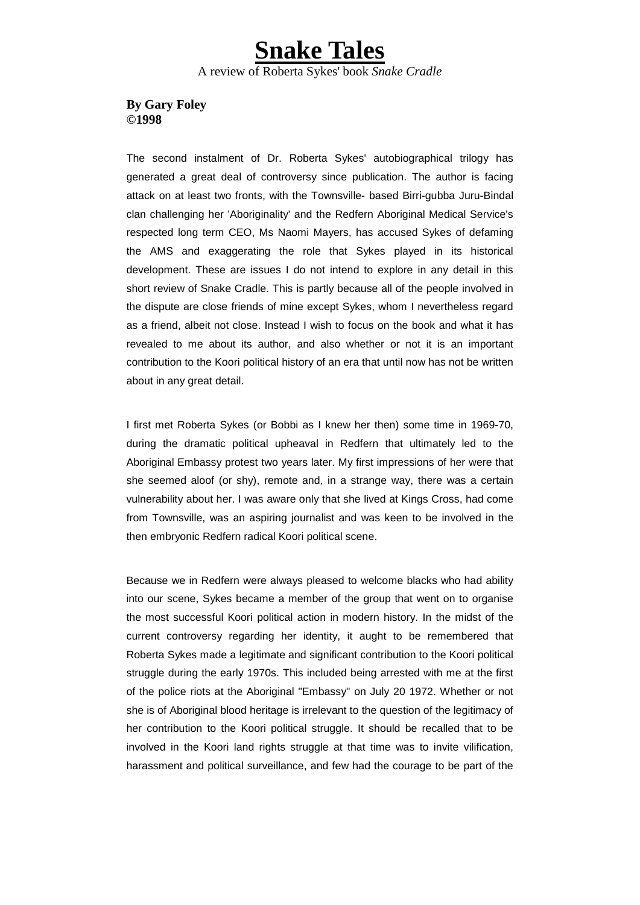## **Snake Tales** A review of Roberta Sykes' book *Snake Cradle*

## **By Gary Foley ©1998**

The second instalment of Dr. Roberta Sykes' autobiographical trilogy has generated a great deal of controversy since publication. The author is facing attack on at least two fronts, with the Townsville- based Birri-gubba Juru-Bindal clan challenging her 'Aboriginality' and the Redfern Aboriginal Medical Service's respected long term CEO, Ms Naomi Mayers, has accused Sykes of defaming the AMS and exaggerating the role that Sykes played in its historical development. These are issues I do not intend to explore in any detail in this short review of Snake Cradle. This is partly because all of the people involved in the dispute are close friends of mine except Sykes, whom I nevertheless regard as a friend, albeit not close. Instead I wish to focus on the book and what it has revealed to me about its author, and also whether or not it is an important contribution to the Koori political history of an era that until now has not be written about in any great detail.

I first met Roberta Sykes (or Bobbi as I knew her then) some time in 1969-70, during the dramatic political upheaval in Redfern that ultimately led to the Aboriginal Embassy protest two years later. My first impressions of her were that she seemed aloof (or shy), remote and, in a strange way, there was a certain vulnerability about her. I was aware only that she lived at Kings Cross, had come from Townsville, was an aspiring journalist and was keen to be involved in the then embryonic Redfern radical Koori political scene.

Because we in Redfern were always pleased to welcome blacks who had ability into our scene, Sykes became a member of the group that went on to organise the most successful Koori political action in modern history. In the midst of the current controversy regarding her identity, it aught to be remembered that Roberta Sykes made a legitimate and significant contribution to the Koori political struggle during the early 1970s. This included being arrested with me at the first of the police riots at the Aboriginal "Embassy" on July 20 1972. Whether or not she is of Aboriginal blood heritage is irrelevant to the question of the legitimacy of her contribution to the Koori political struggle. It should be recalled that to be involved in the Koori land rights struggle at that time was to invite vilification, harassment and political surveillance, and few had the courage to be part of the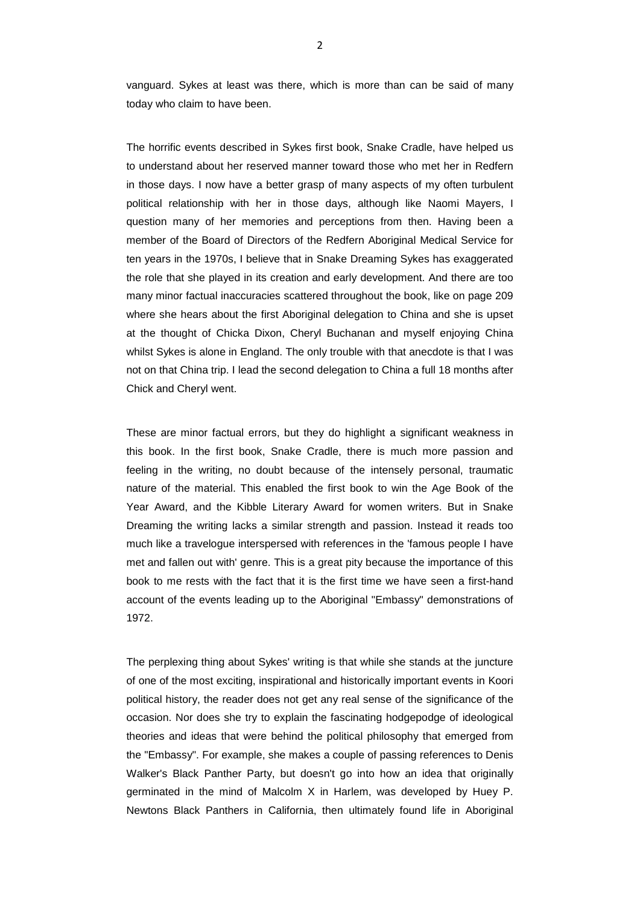vanguard. Sykes at least was there, which is more than can be said of many today who claim to have been.

The horrific events described in Sykes first book, Snake Cradle, have helped us to understand about her reserved manner toward those who met her in Redfern in those days. I now have a better grasp of many aspects of my often turbulent political relationship with her in those days, although like Naomi Mayers, I question many of her memories and perceptions from then. Having been a member of the Board of Directors of the Redfern Aboriginal Medical Service for ten years in the 1970s, I believe that in Snake Dreaming Sykes has exaggerated the role that she played in its creation and early development. And there are too many minor factual inaccuracies scattered throughout the book, like on page 209 where she hears about the first Aboriginal delegation to China and she is upset at the thought of Chicka Dixon, Cheryl Buchanan and myself enjoying China whilst Sykes is alone in England. The only trouble with that anecdote is that I was not on that China trip. I lead the second delegation to China a full 18 months after Chick and Cheryl went.

These are minor factual errors, but they do highlight a significant weakness in this book. In the first book, Snake Cradle, there is much more passion and feeling in the writing, no doubt because of the intensely personal, traumatic nature of the material. This enabled the first book to win the Age Book of the Year Award, and the Kibble Literary Award for women writers. But in Snake Dreaming the writing lacks a similar strength and passion. Instead it reads too much like a travelogue interspersed with references in the 'famous people I have met and fallen out with' genre. This is a great pity because the importance of this book to me rests with the fact that it is the first time we have seen a first-hand account of the events leading up to the Aboriginal "Embassy" demonstrations of 1972.

The perplexing thing about Sykes' writing is that while she stands at the juncture of one of the most exciting, inspirational and historically important events in Koori political history, the reader does not get any real sense of the significance of the occasion. Nor does she try to explain the fascinating hodgepodge of ideological theories and ideas that were behind the political philosophy that emerged from the "Embassy". For example, she makes a couple of passing references to Denis Walker's Black Panther Party, but doesn't go into how an idea that originally germinated in the mind of Malcolm X in Harlem, was developed by Huey P. Newtons Black Panthers in California, then ultimately found life in Aboriginal